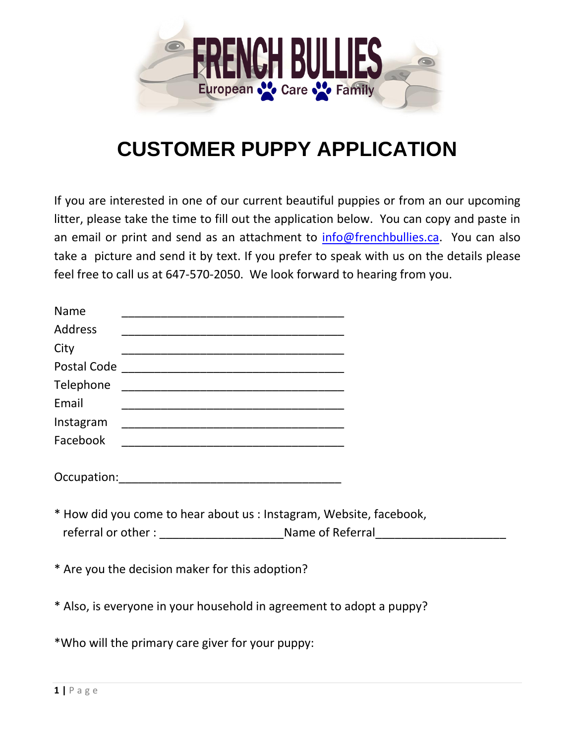

## **CUSTOMER PUPPY APPLICATION**

If you are interested in one of our current beautiful puppies or from an our upcoming litter, please take the time to fill out the application below. You can copy and paste in an email or print and send as an attachment to [info@frenchbullies.ca.](mailto:info@frenchbullies.ca) You can also take a picture and send it by text. If you prefer to speak with us on the details please feel free to call us at 647-570-2050. We look forward to hearing from you.

| Name           | <u> 1999 - Johann John Stone, mars et al. 1999 - John Stone, mars et al. 1999 - John Stone, mars et al. 1999 - Joh</u> |  |
|----------------|------------------------------------------------------------------------------------------------------------------------|--|
| <b>Address</b> |                                                                                                                        |  |
| City           |                                                                                                                        |  |
|                |                                                                                                                        |  |
|                |                                                                                                                        |  |
| Email          |                                                                                                                        |  |
|                |                                                                                                                        |  |
|                |                                                                                                                        |  |
|                |                                                                                                                        |  |
|                |                                                                                                                        |  |
|                |                                                                                                                        |  |
|                | * How did you come to hear about us : Instagram, Website, facebook,                                                    |  |
|                |                                                                                                                        |  |
|                |                                                                                                                        |  |
|                | * Are you the decision maker for this adoption?                                                                        |  |
|                |                                                                                                                        |  |
|                |                                                                                                                        |  |

\* Also, is everyone in your household in agreement to adopt a puppy?

\*Who will the primary care giver for your puppy: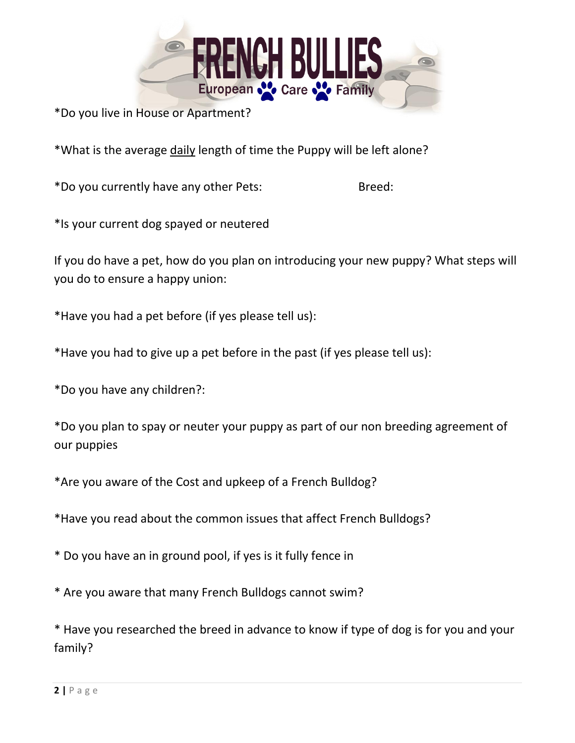

\*Do you live in House or Apartment?

\*What is the average daily length of time the Puppy will be left alone?

\*Do you currently have any other Pets: Breed:

\*Is your current dog spayed or neutered

If you do have a pet, how do you plan on introducing your new puppy? What steps will you do to ensure a happy union:

\*Have you had a pet before (if yes please tell us):

\*Have you had to give up a pet before in the past (if yes please tell us):

\*Do you have any children?:

\*Do you plan to spay or neuter your puppy as part of our non breeding agreement of our puppies

\*Are you aware of the Cost and upkeep of a French Bulldog?

\*Have you read about the common issues that affect French Bulldogs?

\* Do you have an in ground pool, if yes is it fully fence in

\* Are you aware that many French Bulldogs cannot swim?

\* Have you researched the breed in advance to know if type of dog is for you and your family?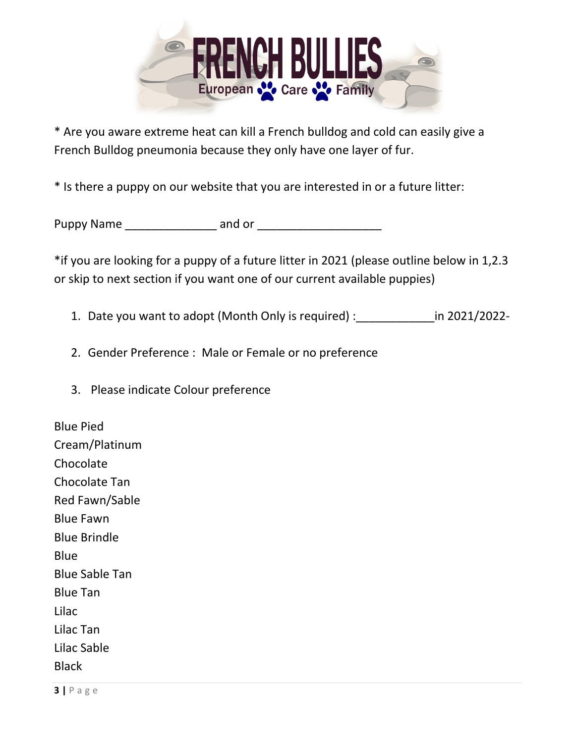

\* Are you aware extreme heat can kill a French bulldog and cold can easily give a French Bulldog pneumonia because they only have one layer of fur.

\* Is there a puppy on our website that you are interested in or a future litter:

| <b>Puppy Name</b> | and or |  |
|-------------------|--------|--|
|-------------------|--------|--|

\*if you are looking for a puppy of a future litter in 2021 (please outline below in 1,2.3 or skip to next section if you want one of our current available puppies)

- 1. Date you want to adopt (Month Only is required) : <br>in 2021/2022-
- 2. Gender Preference : Male or Female or no preference
- 3. Please indicate Colour preference

Blue Pied Cream/Platinum Chocolate Chocolate Tan Red Fawn/Sable Blue Fawn Blue Brindle Blue Blue Sable Tan Blue Tan Lilac Lilac Tan Lilac Sable **Black**